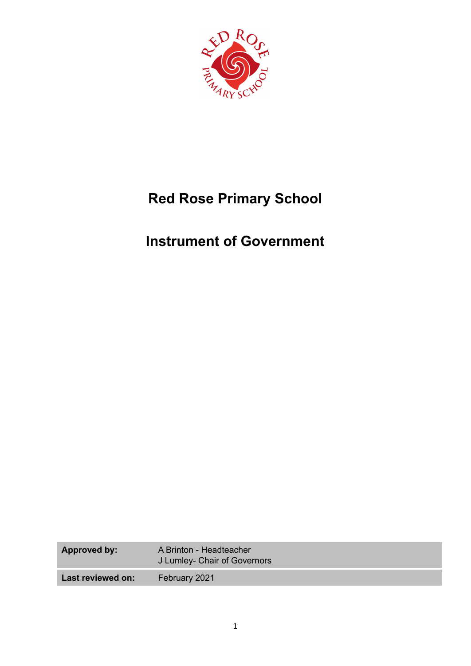

## **Red Rose Primary School**

## **Instrument of Government**

| <b>Approved by:</b> | A Brinton - Headteacher<br>J Lumley- Chair of Governors |
|---------------------|---------------------------------------------------------|
| Last reviewed on:   | February 2021                                           |